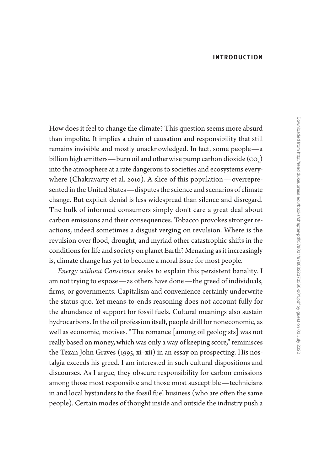How does it feel to change the climate? This question seems more absurd than impolite. It implies a chain of causation and responsibility that still remains invisible and mostly unacknowledged. In fact, some people—a billion high emitters—burn oil and otherwise pump carbon dioxide  $(co_2)$ into the atmosphere at a rate dangerous to societies and ecosystems everywhere (Chakravarty et al. 2010). A slice of this population—overrepresented in the United States—disputes the science and scenarios of climate change. But explicit denial is less widespread than silence and disregard. The bulk of informed consumers simply don't care a great deal about carbon emissions and their consequences. Tobacco provokes stronger reactions, indeed sometimes a disgust verging on revulsion. Where is the revulsion over flood, drought, and myriad other catastrophic shifts in the conditions for life and society on planet Earth? Menacing as it increasingly is, climate change has yet to become a moral issue for most people.

*Energy without Conscience* seeks to explain this persistent banality. I am not trying to expose—as others have done—the greed of individuals, firms, or governments. Capitalism and convenience certainly underwrite the status quo. Yet means-to-ends reasoning does not account fully for the abundance of support for fossil fuels. Cultural meanings also sustain hydrocarbons. In the oil profession itself, people drill for noneconomic, as well as economic, motives. "The romance [among oil geologists] was not really based on money, which was only a way of keeping score," reminisces the Texan John Graves (1995, xi–xii) in an essay on prospecting. His nostalgia exceeds his greed. I am interested in such cultural dispositions and discourses. As I argue, they obscure responsibility for carbon emissions among those most responsible and those most susceptible—technicians in and local bystanders to the fossil fuel business (who are often the same people). Certain modes of thought inside and outside the industry push a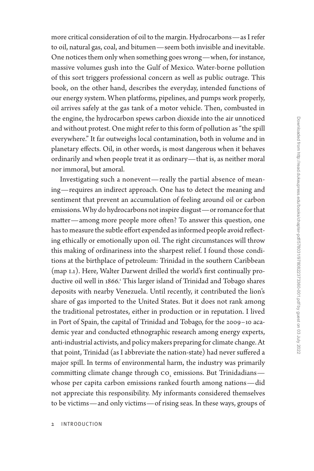more critical consideration of oil to the margin. Hydrocarbons—as I refer to oil, natural gas, coal, and bitumen—seem both invisible and inevitable. One notices them only when something goes wrong—when, for instance, massive volumes gush into the Gulf of Mexico. Water-borne pollution of this sort triggers professional concern as well as public outrage. This book, on the other hand, describes the everyday, intended functions of our energy system. When platforms, pipelines, and pumps work properly, oil arrives safely at the gas tank of a motor vehicle. Then, combusted in the engine, the hydrocarbon spews carbon dioxide into the air unnoticed and without protest. One might refer to this form of pollution as "the spill everywhere." It far outweighs local contamination, both in volume and in planetary effects. Oil, in other words, is most dangerous when it behaves ordinarily and when people treat it as ordinary—that is, as neither moral nor immoral, but amoral.

Investigating such a nonevent—really the partial absence of meaning—requires an indirect approach. One has to detect the meaning and sentiment that prevent an accumulation of feeling around oil or carbon emissions. Why do hydrocarbons not inspire disgust—or romance for that matter—among more people more often? To answer this question, one has to measure the subtle effort expended as informed people avoid reflecting ethically or emotionally upon oil. The right circumstances will throw this making of ordinariness into the sharpest relief. I found those conditions at the birthplace of petroleum: Trinidad in the southern Caribbean [\(map i.1\)](#page-2-0). Here, Walter Darwent drilled the world's first continually pro-ductive oil well in [1](#page--1-0)866.<sup>1</sup> This larger island of Trinidad and Tobago shares deposits with nearby Venezuela. Until recently, it contributed the lion's share of gas imported to the United States. But it does not rank among the traditional petrostates, either in production or in reputation. I lived in Port of Spain, the capital of Trinidad and Tobago, for the 2009–10 academic year and conducted ethnographic research among energy experts, anti-industrial activists, and policy makers preparing for climate change. At that point, Trinidad (as I abbreviate the nation-state) had never suffered a major spill. In terms of environmental harm, the industry was primarily committing climate change through CO<sub>2</sub> emissions. But Trinidadians whose per capita carbon emissions ranked fourth among nations—did not appreciate this responsibility. My informants considered themselves to be victims—and only victims—of rising seas. In these ways, groups of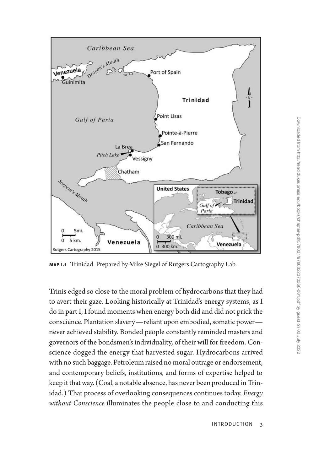<span id="page-2-0"></span>

**map i.1** Trinidad. Prepared by Mike Siegel of Rutgers Cartography Lab.

Trinis edged so close to the moral problem of hydrocarbons that they had to avert their gaze. Looking historically at Trinidad's energy systems, as I do in part I, I found moments when energy both did and did not prick the conscience. Plantation slavery—reliant upon embodied, somatic power never achieved stability. Bonded people constantly reminded masters and governors of the bondsmen's individuality, of their will for freedom. Conscience dogged the energy that harvested sugar. Hydrocarbons arrived with no such baggage. Petroleum raised no moral outrage or endorsement, and contemporary beliefs, institutions, and forms of expertise helped to keep it that way. (Coal, a notable absence, has never been produced in Trinidad.) That process of overlooking consequences continues today. *Energy without Conscience* illuminates the people close to and conducting this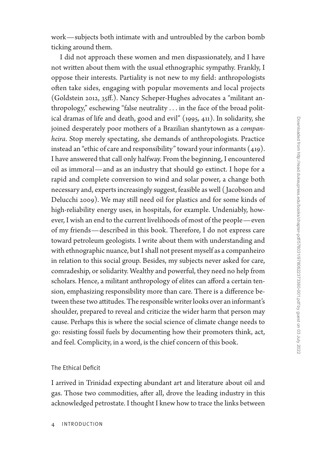work—subjects both intimate with and untroubled by the carbon bomb ticking around them.

I did not approach these women and men dispassionately, and I have not written about them with the usual ethnographic sympathy. Frankly, I oppose their interests. Partiality is not new to my field: anthropologists often take sides, engaging with popular movements and local projects (Goldstein 2012, 35ff.). Nancy Scheper-Hughes advocates a "militant anthropology," eschewing "false neutrality . . . in the face of the broad political dramas of life and death, good and evil" (1995, 411). In solidarity, she joined desperately poor mothers of a Brazilian shantytown as a *companheira*. Stop merely spectating, she demands of anthropologists. Practice instead an "ethic of care and responsibility" toward your informants (419). I have answered that call only halfway. From the beginning, I encountered oil as immoral—and as an industry that should go extinct. I hope for a rapid and complete conversion to wind and solar power, a change both necessary and, experts increasingly suggest, feasible as well ( Jacobson and Delucchi 2009). We may still need oil for plastics and for some kinds of high-reliability energy uses, in hospitals, for example. Undeniably, however, I wish an end to the current livelihoods of most of the people—even of my friends—described in this book. Therefore, I do not express care toward petroleum geologists. I write about them with understanding and with ethnographic nuance, but I shall not present myself as a companheiro in relation to this social group. Besides, my subjects never asked for care, comradeship, or solidarity. Wealthy and powerful, they need no help from scholars. Hence, a militant anthropology of elites can afford a certain tension, emphasizing responsibility more than care. There is a difference between these two attitudes. The responsible writer looks over an informant's shoulder, prepared to reveal and criticize the wider harm that person may cause. Perhaps this is where the social science of climate change needs to go: resisting fossil fuels by documenting how their promoters think, act, and feel. Complicity, in a word, is the chief concern of this book.

## The Ethical Deficit

I arrived in Trinidad expecting abundant art and literature about oil and gas. Those two commodities, after all, drove the leading industry in this acknowledged petrostate. I thought I knew how to trace the links between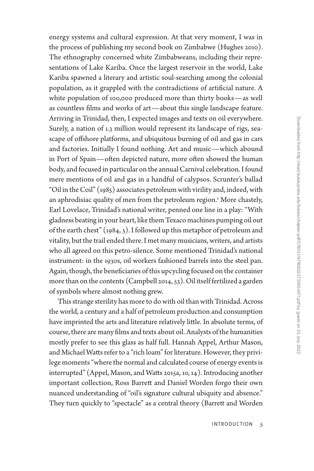energy systems and cultural expression. At that very moment, I was in the process of publishing my second book on Zimbabwe (Hughes 2010). The ethnography concerned white Zimbabweans, including their representations of Lake Kariba. Once the largest reservoir in the world, Lake Kariba spawned a literary and artistic soul-searching among the colonial population, as it grappled with the contradictions of artificial nature. A white population of 100,000 produced more than thirty books—as well as countless films and works of art—about this single landscape feature. Arriving in Trinidad, then, I expected images and texts on oil everywhere. Surely, a nation of 1.3 million would represent its landscape of rigs, seascape of offshore platforms, and ubiquitous burning of oil and gas in cars and factories. Initially I found nothing. Art and music—which abound in Port of Spain—often depicted nature, more often showed the human body, and focused in particular on the annual Carnival celebration. I found mere mentions of oil and gas in a handful of calypsos. Scrunter's ballad "Oil in the Coil" (1985) associates petroleum with virility and, indeed, with an aphrodisiac quality of men from the petroleum region[.2](#page--1-0) More chastely, Earl Lovelace, Trinidad's national writer, penned one line in a play: "With gladness beating in your heart, like them Texaco machines pumping oil out of the earth chest" (1984, 3). I followed up this metaphor of petroleum and vitality, but the trail ended there. I met many musicians, writers, and artists who all agreed on this petro-silence. Some mentioned Trinidad's national instrument: in the 1930s, oil workers fashioned barrels into the steel pan. Again, though, the beneficiaries of this upcycling focused on the container more than on the contents (Campbell 2014, 53). Oil itself fertilized a garden of symbols where almost nothing grew.

This strange sterility has more to do with oil than with Trinidad. Across the world, a century and a half of petroleum production and consumption have imprinted the arts and literature relatively little. In absolute terms, of course, there are many films and texts about oil. Analysts of the humanities mostly prefer to see this glass as half full. Hannah Appel, Arthur Mason, and Michael Watts refer to a "rich loam" for literature. However, they privilege moments "where the normal and calculated course of energy events is interrupted" (Appel, Mason, and Watts 2015a, 10, 14). Introducing another important collection, Ross Barrett and Daniel Worden forgo their own nuanced understanding of "oil's signature cultural ubiquity and absence." They turn quickly to "spectacle" as a central theory (Barrett and Worden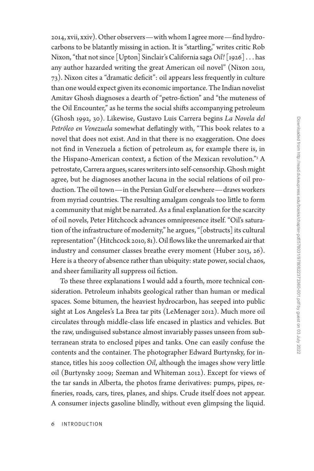2014, xvii, xxiv). Other observers—with whom I agree more—find hydrocarbons to be blatantly missing in action. It is "startling," writes critic Rob Nixon, "that not since [Upton] Sinclair's California saga *Oil!* [1926] . . . has any author hazarded writing the great American oil novel" (Nixon 2011, 73). Nixon cites a "dramatic deficit": oil appears less frequently in culture than one would expect given its economic importance. The Indian novelist Amitav Ghosh diagnoses a dearth of "petro-fiction" and "the muteness of the Oil Encounter," as he terms the social shifts accompanying petroleum (Ghosh 1992, 30). Likewise, Gustavo Luis Carrera begins *La Novela del Petróleo en Venezuela* somewhat deflatingly with, "This book relates to a novel that does not exist. And in that there is no exaggeration. One does not find in Venezuela a fiction of petroleum as, for example there is, in the Hispano-American context, a fiction of the Mexican revolution."[3](#page--1-0) A petrostate, Carrera argues, scares writers into self-censorship. Ghosh might agree, but he diagnoses another lacuna in the social relations of oil production. The oil town—in the Persian Gulf or elsewhere—draws workers from myriad countries. The resulting amalgam congeals too little to form a community that might be narrated. As a final explanation for the scarcity of oil novels, Peter Hitchcock advances omnipresence itself. "Oil's saturation of the infrastructure of modernity," he argues, "[obstructs] its cultural representation" (Hitchcock 2010, 81). Oil flows like the unremarked air that industry and consumer classes breathe every moment (Huber 2013, 26). Here is a theory of absence rather than ubiquity: state power, social chaos, and sheer familiarity all suppress oil fiction.

To these three explanations I would add a fourth, more technical consideration. Petroleum inhabits geological rather than human or medical spaces. Some bitumen, the heaviest hydrocarbon, has seeped into public sight at Los Angeles's La Brea tar pits (LeMenager 2012). Much more oil circulates through middle-class life encased in plastics and vehicles. But the raw, undisguised substance almost invariably passes unseen from subterranean strata to enclosed pipes and tanks. One can easily confuse the contents and the container. The photographer Edward Burtynsky, for instance, titles his 2009 collection *Oil*, although the images show very little oil (Burtynsky 2009; Szeman and Whiteman 2012). Except for views of the tar sands in Alberta, the photos frame derivatives: pumps, pipes, refineries, roads, cars, tires, planes, and ships. Crude itself does not appear. A consumer injects gasoline blindly, without even glimpsing the liquid.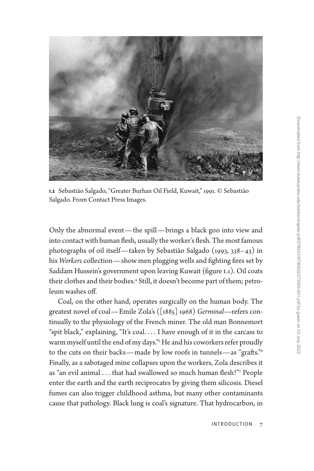

**i.1** Sebastião Salgado, "Greater Burhan Oil Field, Kuwait," 1991. © Sebastião Salgado. From Contact Press Images.

Only the abnormal event—the spill—brings a black goo into view and into contact with human flesh, usually the worker's flesh. The most famous photographs of oil itself—taken by Sebastião Salgado (1993, 338–43) in his *Workers* collection—show men plugging wells and fighting fires set by Saddam Hussein's government upon leaving Kuwait (figure i.1). Oil coats their clothes and their bodies.[4](#page--1-0) Still, it doesn't become part of them; petroleum washes off.

Coal, on the other hand, operates surgically on the human body. The greatest novel of coal—Emile Zola's ([1885] 1968) *Germinal*—refers continually to the physiology of the French miner. The old man Bonnemort "spit black," explaining, "It's coal. . . . I have enough of it in the carcass to warm myself until the end of my days.["5](#page--1-0) He and his coworkers refer proudly to the cuts on their backs—made by low roofs in tunnels—as "grafts."[6](#page--1-0) Finally, as a sabotaged mine collapses upon the workers, Zola describes it as "an evil animal . . . that had swallowed so much human flesh!"[7](#page--1-0) People enter the earth and the earth reciprocates by giving them silicosis. Diesel fumes can also trigger childhood asthma, but many other contaminants cause that pathology. Black lung is coal's signature. That hydrocarbon, in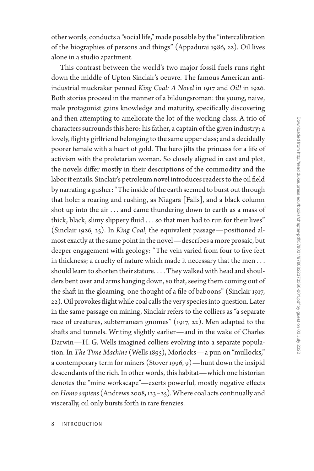other words, conducts a "social life," made possible by the "intercalibration of the biographies of persons and things" (Appadurai 1986, 22). Oil lives alone in a studio apartment.

This contrast between the world's two major fossil fuels runs right down the middle of Upton Sinclair's oeuvre. The famous American antiindustrial muckraker penned *King Coal: A Novel* in 1917 and *Oil!* in 1926. Both stories proceed in the manner of a bildungsroman: the young, naive, male protagonist gains knowledge and maturity, specifically discovering and then attempting to ameliorate the lot of the working class. A trio of characters surrounds this hero: his father, a captain of the given industry; a lovely, flighty girlfriend belonging to the same upper class; and a decidedly poorer female with a heart of gold. The hero jilts the princess for a life of activism with the proletarian woman. So closely aligned in cast and plot, the novels differ mostly in their descriptions of the commodity and the labor it entails. Sinclair's petroleum novel introduces readers to the oil field by narrating a gusher: "The inside of the earth seemed to burst out through that hole: a roaring and rushing, as Niagara [Falls], and a black column shot up into the air . . . and came thundering down to earth as a mass of thick, black, slimy slippery fluid . . . so that men had to run for their lives" (Sinclair 1926, 25). In *King Coal*, the equivalent passage—positioned almost exactly at the same point in the novel—describes a more prosaic, but deeper engagement with geology: "The vein varied from four to five feet in thickness; a cruelty of nature which made it necessary that the men . . . should learn to shorten their stature. . . . They walked with head and shoulders bent over and arms hanging down, so that, seeing them coming out of the shaft in the gloaming, one thought of a file of baboons" (Sinclair 1917, 22). Oil provokes flight while coal calls the very species into question. Later in the same passage on mining, Sinclair refers to the colliers as "a separate race of creatures, subterranean gnomes" (1917, 22). Men adapted to the shafts and tunnels. Writing slightly earlier—and in the wake of Charles Darwin—H. G. Wells imagined colliers evolving into a separate population. In *The Time Machine* (Wells 1895), Morlocks—a pun on "mullocks," a contemporary term for miners (Stover 1996, 9)—hunt down the insipid descendants of the rich. In other words, this habitat—which one historian denotes the "mine workscape"—exerts powerful, mostly negative effects on *Homo sapiens* (Andrews 2008, 123–25). Where coal acts continually and viscerally, oil only bursts forth in rare frenzies.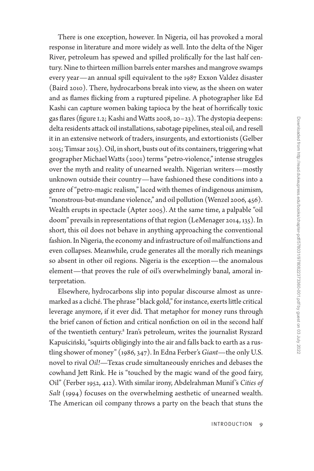There is one exception, however. In Nigeria, oil has provoked a moral response in literature and more widely as well. Into the delta of the Niger River, petroleum has spewed and spilled prolifically for the last half century. Nine to thirteen million barrels enter marshes and mangrove swamps every year—an annual spill equivalent to the 1987 Exxon Valdez disaster (Baird 2010). There, hydrocarbons break into view, as the sheen on water and as flames flicking from a ruptured pipeline. A photographer like Ed Kashi can capture women baking tapioca by the heat of horrifically toxic gas flares [\(figure i.2;](#page-9-0) Kashi and Watts 2008, 20–23). The dystopia deepens: delta residents attack oil installations, sabotage pipelines, steal oil, and resell it in an extensive network of traders, insurgents, and extortionists (Gelber 2015; Timsar 2015). Oil, in short, busts out of its containers, triggering what geographer Michael Watts (2001) terms "petro-violence," intense struggles over the myth and reality of unearned wealth. Nigerian writers—mostly unknown outside their country—have fashioned these conditions into a genre of "petro-magic realism," laced with themes of indigenous animism, "monstrous-but-mundane violence," and oil pollution (Wenzel 2006, 456). Wealth erupts in spectacle (Apter 2005). At the same time, a palpable "oil doom" prevails in representations of that region (LeMenager 2014, 135). In short, this oil does not behave in anything approaching the conventional fashion. In Nigeria, the economy and infrastructure of oil malfunctions and even collapses. Meanwhile, crude generates all the morally rich meanings so absent in other oil regions. Nigeria is the exception—the anomalous element—that proves the rule of oil's overwhelmingly banal, amoral interpretation.

Elsewhere, hydrocarbons slip into popular discourse almost as unremarked as a cliché. The phrase "black gold," for instance, exerts little critical leverage anymore, if it ever did. That metaphor for money runs through the brief canon of fiction and critical nonfiction on oil in the second half of the twentieth century.<sup>8</sup> Iran's petroleum, writes the journalist Ryszard Kapuściński, "squirts obligingly into the air and falls back to earth as a rustling shower of money" (1986, 347). In Edna Ferber's *Giant*—the only U.S. novel to rival *Oil!*—Texas crude simultaneously enriches and debases the cowhand Jett Rink. He is "touched by the magic wand of the good fairy, Oil" (Ferber 1952, 412). With similar irony, Abdelrahman Munif 's *Cities of Salt* (1994) focuses on the overwhelming aesthetic of unearned wealth. The American oil company throws a party on the beach that stuns the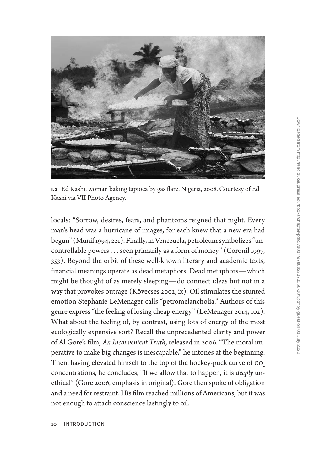<span id="page-9-0"></span>

**i.2** Ed Kashi, woman baking tapioca by gas flare, Nigeria, 2008. Courtesy of Ed Kashi via VII Photo Agency.

locals: "Sorrow, desires, fears, and phantoms reigned that night. Every man's head was a hurricane of images, for each knew that a new era had begun" (Munif 1994, 221). Finally, in Venezuela, petroleum symbolizes "uncontrollable powers . . . seen primarily as a form of money" (Coronil 1997, 353). Beyond the orbit of these well-known literary and academic texts, financial meanings operate as dead metaphors. Dead metaphors—which might be thought of as merely sleeping—do connect ideas but not in a way that provokes outrage (Kövecses 2002, ix). Oil stimulates the stunted emotion Stephanie LeMenager calls "petromelancholia." Authors of this genre express "the feeling of losing cheap energy" (LeMenager 2014, 102). What about the feeling of, by contrast, using lots of energy of the most ecologically expensive sort? Recall the unprecedented clarity and power of Al Gore's film, *An Inconvenient Truth*, released in 2006. "The moral imperative to make big changes is inescapable," he intones at the beginning. Then, having elevated himself to the top of the hockey-puck curve of CO<sub>2</sub> concentrations, he concludes, "If we allow that to happen, it is *deeply* unethical" (Gore 2006, emphasis in original). Gore then spoke of obligation and a need for restraint. His film reached millions of Americans, but it was not enough to attach conscience lastingly to oil.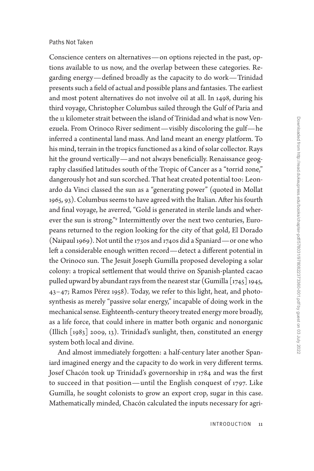## Paths Not Taken

Conscience centers on alternatives—on options rejected in the past, options available to us now, and the overlap between these categories. Regarding energy—defined broadly as the capacity to do work—Trinidad presents such a field of actual and possible plans and fantasies. The earliest and most potent alternatives do not involve oil at all. In 1498, during his third voyage, Christopher Columbus sailed through the Gulf of Paria and the 11 kilometer strait between the island of Trinidad and what is now Venezuela. From Orinoco River sediment—visibly discoloring the gulf—he inferred a continental land mass. And land meant an energy platform. To his mind, terrain in the tropics functioned as a kind of solar collector. Rays hit the ground vertically—and not always beneficially. Renaissance geography classified latitudes south of the Tropic of Cancer as a "torrid zone," dangerously hot and sun scorched. That heat created potential too: Leonardo da Vinci classed the sun as a "generating power" (quoted in Mollat 1965, 93). Columbus seems to have agreed with the Italian. After his fourth and final voyage, he averred, "Gold is generated in sterile lands and wherever the sun is strong."[9](#page--1-0) Intermittently over the next two centuries, Europeans returned to the region looking for the city of that gold, El Dorado (Naipaul 1969). Not until the 1730s and 1740s did a Spaniard—or one who left a considerable enough written record—detect a different potential in the Orinoco sun. The Jesuit Joseph Gumilla proposed developing a solar colony: a tropical settlement that would thrive on Spanish-planted cacao pulled upward by abundant rays from the nearest star (Gumilla [1745] 1945, 43–47; Ramos Pérez 1958). Today, we refer to this light, heat, and photosynthesis as merely "passive solar energy," incapable of doing work in the mechanical sense. Eighteenth-century theory treated energy more broadly, as a life force, that could inhere in matter both organic and nonorganic (Illich [1983] 2009, 13). Trinidad's sunlight, then, constituted an energy system both local and divine.

And almost immediately forgotten: a half-century later another Spaniard imagined energy and the capacity to do work in very different terms. Josef Chacón took up Trinidad's governorship in 1784 and was the first to succeed in that position—until the English conquest of 1797. Like Gumilla, he sought colonists to grow an export crop, sugar in this case. Mathematically minded, Chacón calculated the inputs necessary for agri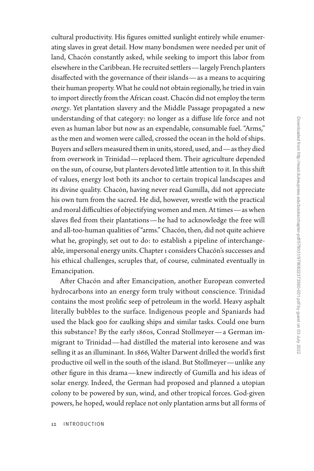cultural productivity. His figures omitted sunlight entirely while enumerating slaves in great detail. How many bondsmen were needed per unit of land, Chacón constantly asked, while seeking to import this labor from elsewhere in the Caribbean. He recruited settlers—largely French planters disaffected with the governance of their islands—as a means to acquiring their human property. What he could not obtain regionally, he tried in vain to import directly from the African coast. Chacón did not employ the term *energy*. Yet plantation slavery and the Middle Passage propagated a new understanding of that category: no longer as a diffuse life force and not even as human labor but now as an expendable, consumable fuel. "Arms," as the men and women were called, crossed the ocean in the hold of ships. Buyers and sellers measured them in units, stored, used, and—as they died from overwork in Trinidad—replaced them. Their agriculture depended on the sun, of course, but planters devoted little attention to it. In this shift of values, energy lost both its anchor to certain tropical landscapes and its divine quality. Chacón, having never read Gumilla, did not appreciate his own turn from the sacred. He did, however, wrestle with the practical and moral difficulties of objectifying women and men. At times—as when slaves fled from their plantations—he had to acknowledge the free will and all-too-human qualities of "arms." Chacón, then, did not quite achieve what he, gropingly, set out to do: to establish a pipeline of interchangeable, impersonal energy units. Chapter 1 considers Chacón's successes and his ethical challenges, scruples that, of course, culminated eventually in Emancipation.

After Chacón and after Emancipation, another European converted hydrocarbons into an energy form truly without conscience. Trinidad contains the most prolific seep of petroleum in the world. Heavy asphalt literally bubbles to the surface. Indigenous people and Spaniards had used the black goo for caulking ships and similar tasks. Could one burn this substance? By the early 1860s, Conrad Stollmeyer—a German immigrant to Trinidad—had distilled the material into kerosene and was selling it as an illuminant. In 1866, Walter Darwent drilled the world's first productive oil well in the south of the island. But Stollmeyer—unlike any other figure in this drama—knew indirectly of Gumilla and his ideas of solar energy. Indeed, the German had proposed and planned a utopian colony to be powered by sun, wind, and other tropical forces. God-given powers, he hoped, would replace not only plantation arms but all forms of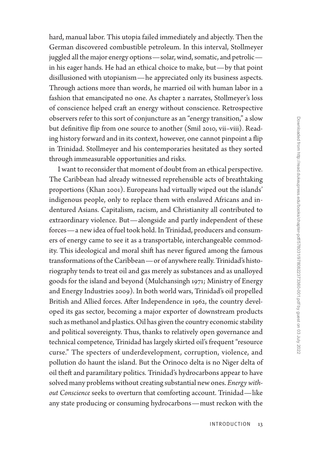hard, manual labor. This utopia failed immediately and abjectly. Then the German discovered combustible petroleum. In this interval, Stollmeyer juggled all the major energy options—solar, wind, somatic, and petrolic in his eager hands. He had an ethical choice to make, but—by that point disillusioned with utopianism—he appreciated only its business aspects. Through actions more than words, he married oil with human labor in a fashion that emancipated no one. As chapter 2 narrates, Stollmeyer's loss of conscience helped craft an energy without conscience. Retrospective observers refer to this sort of conjuncture as an "energy transition," a slow but definitive flip from one source to another (Smil 2010, vii–viii). Reading history forward and in its context, however, one cannot pinpoint a flip in Trinidad. Stollmeyer and his contemporaries hesitated as they sorted through immeasurable opportunities and risks.

I want to reconsider that moment of doubt from an ethical perspective. The Caribbean had already witnessed reprehensible acts of breathtaking proportions (Khan 2001). Europeans had virtually wiped out the islands' indigenous people, only to replace them with enslaved Africans and indentured Asians. Capitalism, racism, and Christianity all contributed to extraordinary violence. But—alongside and partly independent of these forces—a new idea of fuel took hold. In Trinidad, producers and consumers of energy came to see it as a transportable, interchangeable commodity. This ideological and moral shift has never figured among the famous transformations of the Caribbean—or of anywhere really. Trinidad's historiography tends to treat oil and gas merely as substances and as unalloyed goods for the island and beyond (Mulchansingh 1971; Ministry of Energy and Energy Industries 2009). In both world wars, Trinidad's oil propelled British and Allied forces. After Independence in 1962, the country developed its gas sector, becoming a major exporter of downstream products such as methanol and plastics. Oil has given the country economic stability and political sovereignty. Thus, thanks to relatively open governance and technical competence, Trinidad has largely skirted oil's frequent "resource curse." The specters of underdevelopment, corruption, violence, and pollution do haunt the island. But the Orinoco delta is no Niger delta of oil theft and paramilitary politics. Trinidad's hydrocarbons appear to have solved many problems without creating substantial new ones. *Energy without Conscience* seeks to overturn that comforting account. Trinidad—like any state producing or consuming hydrocarbons—must reckon with the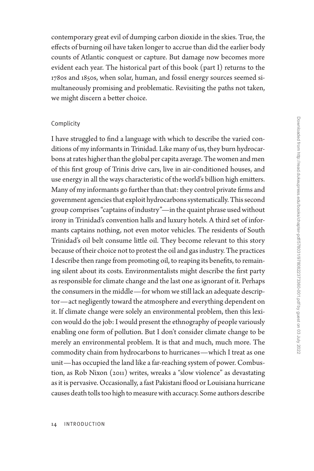contemporary great evil of dumping carbon dioxide in the skies. True, the effects of burning oil have taken longer to accrue than did the earlier body counts of Atlantic conquest or capture. But damage now becomes more evident each year. The historical part of this book (part I) returns to the 1780s and 1850s, when solar, human, and fossil energy sources seemed simultaneously promising and problematic. Revisiting the paths not taken, we might discern a better choice.

## Complicity

I have struggled to find a language with which to describe the varied conditions of my informants in Trinidad. Like many of us, they burn hydrocarbons at rates higher than the global per capita average. The women and men of this first group of Trinis drive cars, live in air-conditioned houses, and use energy in all the ways characteristic of the world's billion high emitters. Many of my informants go further than that: they control private firms and government agencies that exploit hydrocarbons systematically. This second group comprises "captains of industry"—in the quaint phrase used without irony in Trinidad's convention halls and luxury hotels. A third set of informants captains nothing, not even motor vehicles. The residents of South Trinidad's oil belt consume little oil. They become relevant to this story because of their choice not to protest the oil and gas industry. The practices I describe then range from promoting oil, to reaping its benefits, to remaining silent about its costs. Environmentalists might describe the first party as responsible for climate change and the last one as ignorant of it. Perhaps the consumers in the middle—for whom we still lack an adequate descriptor—act negligently toward the atmosphere and everything dependent on it. If climate change were solely an environmental problem, then this lexicon would do the job: I would present the ethnography of people variously enabling one form of pollution. But I don't consider climate change to be merely an environmental problem. It is that and much, much more. The commodity chain from hydrocarbons to hurricanes—which I treat as one unit—has occupied the land like a far-reaching system of power. Combustion, as Rob Nixon (2011) writes, wreaks a "slow violence" as devastating as it is pervasive. Occasionally, a fast Pakistani flood or Louisiana hurricane causes death tolls too high to measure with accuracy. Some authors describe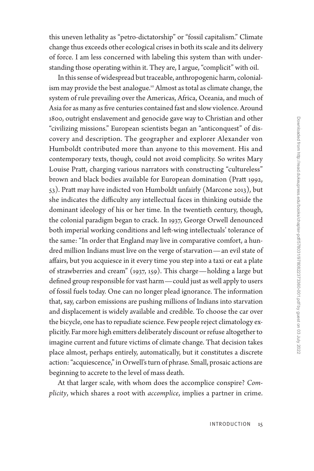this uneven lethality as "petro-dictatorship" or "fossil capitalism." Climate change thus exceeds other ecological crises in both its scale and its delivery of force. I am less concerned with labeling this system than with understanding those operating within it. They are, I argue, "complicit" with oil.

In this sense of widespread but traceable, anthropogenic harm, colonialism may provide the best analogue.<sup>10</sup> Almost as total as climate change, the system of rule prevailing over the Americas, Africa, Oceania, and much of Asia for as many as five centuries contained fast and slow violence. Around 1800, outright enslavement and genocide gave way to Christian and other "civilizing missions." European scientists began an "anticonquest" of discovery and description. The geographer and explorer Alexander von Humboldt contributed more than anyone to this movement. His and contemporary texts, though, could not avoid complicity. So writes Mary Louise Pratt, charging various narrators with constructing "cultureless" brown and black bodies available for European domination (Pratt 1992, 53). Pratt may have indicted von Humboldt unfairly (Marcone 2013), but she indicates the difficulty any intellectual faces in thinking outside the dominant ideology of his or her time. In the twentieth century, though, the colonial paradigm began to crack. In 1937, George Orwell denounced both imperial working conditions and left-wing intellectuals' tolerance of the same: "In order that England may live in comparative comfort, a hundred million Indians must live on the verge of starvation—an evil state of affairs, but you acquiesce in it every time you step into a taxi or eat a plate of strawberries and cream" (1937, 159). This charge—holding a large but defined group responsible for vast harm—could just as well apply to users of fossil fuels today. One can no longer plead ignorance. The information that, say, carbon emissions are pushing millions of Indians into starvation and displacement is widely available and credible. To choose the car over the bicycle, one has to repudiate science. Few people reject climatology explicitly. Far more high emitters deliberately discount or refuse altogether to imagine current and future victims of climate change. That decision takes place almost, perhaps entirely, automatically, but it constitutes a discrete action: "acquiescence," in Orwell's turn of phrase. Small, prosaic actions are beginning to accrete to the level of mass death.

At that larger scale, with whom does the accomplice conspire? *Complicity*, which shares a root with *accomplice*, implies a partner in crime.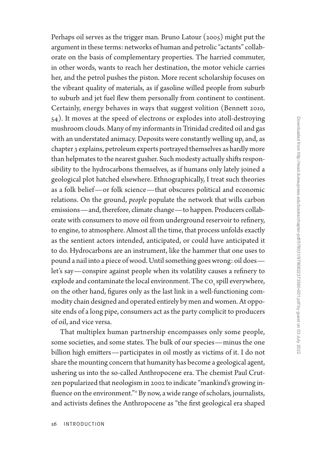Perhaps oil serves as the trigger man. Bruno Latour (2005) might put the argument in these terms: networks of human and petrolic "actants" collaborate on the basis of complementary properties. The harried commuter, in other words, wants to reach her destination, the motor vehicle carries her, and the petrol pushes the piston. More recent scholarship focuses on the vibrant quality of materials, as if gasoline willed people from suburb to suburb and jet fuel flew them personally from continent to continent. Certainly, energy behaves in ways that suggest volition (Bennett 2010, 54). It moves at the speed of electrons or explodes into atoll-destroying mushroom clouds. Many of my informants in Trinidad credited oil and gas with an understated animacy. Deposits were constantly welling up, and, as chapter 3 explains, petroleum experts portrayed themselves as hardly more than helpmates to the nearest gusher. Such modesty actually shifts responsibility to the hydrocarbons themselves, as if humans only lately joined a geological plot hatched elsewhere. Ethnographically, I treat such theories as a folk belief—or folk science—that obscures political and economic relations. On the ground, *people* populate the network that wills carbon emissions—and, therefore, climate change—to happen. Producers collaborate with consumers to move oil from underground reservoir to refinery, to engine, to atmosphere. Almost all the time, that process unfolds exactly as the sentient actors intended, anticipated, or could have anticipated it to do. Hydrocarbons are an instrument, like the hammer that one uses to pound a nail into a piece of wood. Until something goes wrong: oil does let's say—conspire against people when its volatility causes a refinery to explode and contaminate the local environment. The  ${\rm co}_{{}_2}$  spill everywhere, on the other hand, figures only as the last link in a well-functioning commodity chain designed and operated entirely by men and women. At opposite ends of a long pipe, consumers act as the party complicit to producers of oil, and vice versa.

That multiplex human partnership encompasses only some people, some societies, and some states. The bulk of our species—minus the one billion high emitters—participates in oil mostly as victims of it. I do not share the mounting concern that humanity has become a geological agent, ushering us into the so-called Anthropocene era. The chemist Paul Crutzen popularized that neologism in 2002 to indicate "mankind's growing influence on the environment."<sup>11</sup> By now, a wide range of scholars, journalists, and activists defines the Anthropocene as "the first geological era shaped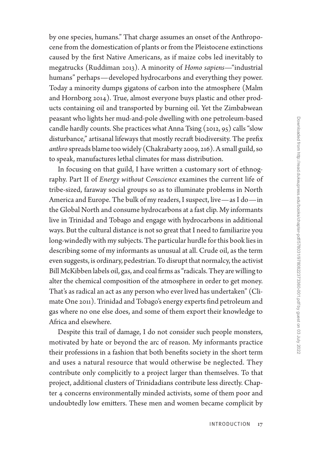by one species, humans." That charge assumes an onset of the Anthropocene from the domestication of plants or from the Pleistocene extinctions caused by the first Native Americans, as if maize cobs led inevitably to megatrucks (Ruddiman 2013). A minority of *Homo sapiens*—"industrial humans" perhaps—developed hydrocarbons and everything they power. Today a minority dumps gigatons of carbon into the atmosphere (Malm and Hornborg 2014). True, almost everyone buys plastic and other products containing oil and transported by burning oil. Yet the Zimbabwean peasant who lights her mud-and-pole dwelling with one petroleum-based candle hardly counts. She practices what Anna Tsing (2012, 95) calls "slow disturbance," artisanal lifeways that mostly recraft biodiversity. The prefix *anthro* spreads blame too widely (Chakrabarty 2009, 216). A small guild, so to speak, manufactures lethal climates for mass distribution.

In focusing on that guild, I have written a customary sort of ethnography. Part II of *Energy without Conscience* examines the current life of tribe-sized, faraway social groups so as to illuminate problems in North America and Europe. The bulk of my readers, I suspect, live—as I do—in the Global North and consume hydrocarbons at a fast clip. My informants live in Trinidad and Tobago and engage with hydrocarbons in additional ways. But the cultural distance is not so great that I need to familiarize you long-windedly with my subjects. The particular hurdle for this book lies in describing some of my informants as unusual at all. Crude oil, as the term even suggests, is ordinary, pedestrian. To disrupt that normalcy, the activist Bill McKibben labels oil, gas, and coal firms as "radicals. They are willing to alter the chemical composition of the atmosphere in order to get money. That's as radical an act as any person who ever lived has undertaken" (Climate One 2011). Trinidad and Tobago's energy experts find petroleum and gas where no one else does, and some of them export their knowledge to Africa and elsewhere.

Despite this trail of damage, I do not consider such people monsters, motivated by hate or beyond the arc of reason. My informants practice their professions in a fashion that both benefits society in the short term and uses a natural resource that would otherwise be neglected. They contribute only complicitly to a project larger than themselves. To that project, additional clusters of Trinidadians contribute less directly. Chapter 4 concerns environmentally minded activists, some of them poor and undoubtedly low emitters. These men and women became complicit by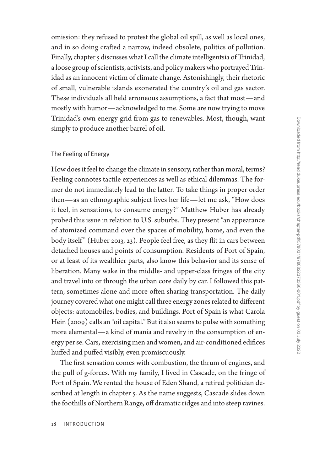omission: they refused to protest the global oil spill, as well as local ones, and in so doing crafted a narrow, indeed obsolete, politics of pollution. Finally, chapter 5 discusses what I call the climate intelligentsia of Trinidad, a loose group of scientists, activists, and policy makers who portrayed Trinidad as an innocent victim of climate change. Astonishingly, their rhetoric of small, vulnerable islands exonerated the country's oil and gas sector. These individuals all held erroneous assumptions, a fact that most—and mostly with humor—acknowledged to me. Some are now trying to move Trinidad's own energy grid from gas to renewables. Most, though, want simply to produce another barrel of oil.

## The Feeling of Energy

How does it feel to change the climate in sensory, rather than moral, terms? Feeling connotes tactile experiences as well as ethical dilemmas. The former do not immediately lead to the latter. To take things in proper order then—as an ethnographic subject lives her life—let me ask, "How does it feel, in sensations, to consume energy?" Matthew Huber has already probed this issue in relation to U.S. suburbs. They present "an appearance of atomized command over the spaces of mobility, home, and even the body itself" (Huber 2013, 23). People feel free, as they flit in cars between detached houses and points of consumption. Residents of Port of Spain, or at least of its wealthier parts, also know this behavior and its sense of liberation. Many wake in the middle- and upper-class fringes of the city and travel into or through the urban core daily by car. I followed this pattern, sometimes alone and more often sharing transportation. The daily journey covered what one might call three energy zones related to different objects: automobiles, bodies, and buildings. Port of Spain is what Carola Hein (2009) calls an "oil capital." But it also seems to pulse with something more elemental—a kind of mania and revelry in the consumption of energy per se. Cars, exercising men and women, and air-conditioned edifices huffed and puffed visibly, even promiscuously.

The first sensation comes with combustion, the thrum of engines, and the pull of g-forces. With my family, I lived in Cascade, on the fringe of Port of Spain. We rented the house of Eden Shand, a retired politician described at length in chapter 5. As the name suggests, Cascade slides down the foothills of Northern Range, off dramatic ridges and into steep ravines.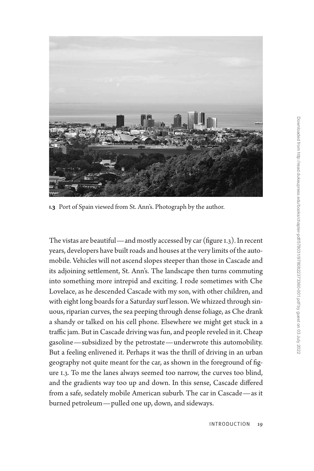<span id="page-18-0"></span>

**i.3** Port of Spain viewed from St. Ann's. Photograph by the author.

The vistas are beautiful—and mostly accessed by car (figure i.3). In recent years, developers have built roads and houses at the very limits of the automobile. Vehicles will not ascend slopes steeper than those in Cascade and its adjoining settlement, St. Ann's. The landscape then turns commuting into something more intrepid and exciting. I rode sometimes with Che Lovelace, as he descended Cascade with my son, with other children, and with eight long boards for a Saturday surf lesson. We whizzed through sinuous, riparian curves, the sea peeping through dense foliage, as Che drank a shandy or talked on his cell phone. Elsewhere we might get stuck in a traffic jam. But in Cascade driving was fun, and people reveled in it. Cheap gasoline—subsidized by the petrostate—underwrote this automobility. But a feeling enlivened it. Perhaps it was the thrill of driving in an urban geography not quite meant for the car, as shown in the foreground of figure i.3. To me the lanes always seemed too narrow, the curves too blind, and the gradients way too up and down. In this sense, Cascade differed from a safe, sedately mobile American suburb. The car in Cascade—as it burned petroleum—pulled one up, down, and sideways.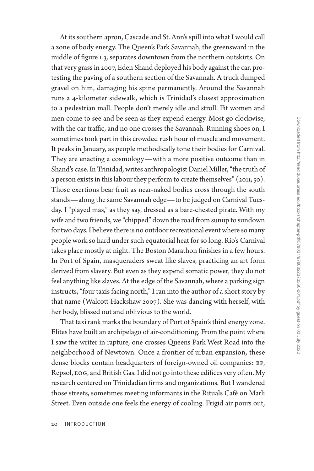At its southern apron, Cascade and St. Ann's spill into what I would call a zone of body energy. The Queen's Park Savannah, the greensward in the middle of [figure i.3,](#page-18-0) separates downtown from the northern outskirts. On that very grass in 2007, Eden Shand deployed his body against the car, protesting the paving of a southern section of the Savannah. A truck dumped gravel on him, damaging his spine permanently. Around the Savannah runs a 4-kilometer sidewalk, which is Trinidad's closest approximation to a pedestrian mall. People don't merely idle and stroll. Fit women and men come to see and be seen as they expend energy. Most go clockwise, with the car traffic, and no one crosses the Savannah. Running shoes on, I sometimes took part in this crowded rush hour of muscle and movement. It peaks in January, as people methodically tone their bodies for Carnival. They are enacting a cosmology—with a more positive outcome than in Shand's case. In Trinidad, writes anthropologist Daniel Miller, "the truth of a person exists in this labour they perform to create themselves" (2011, 50). Those exertions bear fruit as near-naked bodies cross through the south stands—along the same Savannah edge—to be judged on Carnival Tuesday. I "played mas," as they say, dressed as a bare-chested pirate. With my wife and two friends, we "chipped" down the road from sunup to sundown for two days. I believe there is no outdoor recreational event where so many people work so hard under such equatorial heat for so long. Rio's Carnival takes place mostly at night. The Boston Marathon finishes in a few hours. In Port of Spain, masqueraders sweat like slaves, practicing an art form derived from slavery. But even as they expend somatic power, they do not feel anything like slaves. At the edge of the Savannah, where a parking sign instructs, "four taxis facing north," I ran into the author of a short story by that name (Walcott-Hackshaw 2007). She was dancing with herself, with her body, blissed out and oblivious to the world.

That taxi rank marks the boundary of Port of Spain's third energy zone. Elites have built an archipelago of air-conditioning. From the point where I saw the writer in rapture, one crosses Queens Park West Road into the neighborhood of Newtown. Once a frontier of urban expansion, these dense blocks contain headquarters of foreign-owned oil companies: bp, Repsol, eog, and British Gas. I did not go into these edifices very often. My research centered on Trinidadian firms and organizations. But I wandered those streets, sometimes meeting informants in the Rituals Café on Marli Street. Even outside one feels the energy of cooling. Frigid air pours out,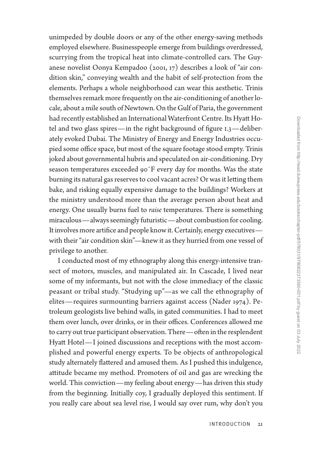unimpeded by double doors or any of the other energy-saving methods employed elsewhere. Businesspeople emerge from buildings overdressed, scurrying from the tropical heat into climate-controlled cars. The Guyanese novelist Oonya Kempadoo (2001, 17) describes a look of "air condition skin," conveying wealth and the habit of self-protection from the elements. Perhaps a whole neighborhood can wear this aesthetic. Trinis themselves remark more frequently on the air-conditioning of another locale, about a mile south of Newtown. On the Gulf of Paria, the government had recently established an International Waterfront Centre. Its Hyatt Hotel and two glass spires—in the right background of [figure i.3—](#page-18-0)deliberately evoked Dubai. The Ministry of Energy and Energy Industries occupied some office space, but most of the square footage stood empty. Trinis joked about governmental hubris and speculated on air-conditioning. Dry season temperatures exceeded 90˚F every day for months. Was the state burning its natural gas reserves to cool vacant acres? Or was it letting them bake, and risking equally expensive damage to the buildings? Workers at the ministry understood more than the average person about heat and energy. One usually burns fuel to *raise* temperatures. There is something miraculous—always seemingly futuristic—about combustion for cooling. It involves more artifice and people know it. Certainly, energy executives with their "air condition skin"—knew it as they hurried from one vessel of privilege to another.

I conducted most of my ethnography along this energy-intensive transect of motors, muscles, and manipulated air. In Cascade, I lived near some of my informants, but not with the close immediacy of the classic peasant or tribal study. "Studying up"—as we call the ethnography of elites—requires surmounting barriers against access (Nader 1974). Petroleum geologists live behind walls, in gated communities. I had to meet them over lunch, over drinks, or in their offices. Conferences allowed me to carry out true participant observation. There—often in the resplendent Hyatt Hotel—I joined discussions and receptions with the most accomplished and powerful energy experts. To be objects of anthropological study alternately flattered and amused them. As I pushed this indulgence, attitude became my method. Promoters of oil and gas are wrecking the world. This conviction—my feeling about energy—has driven this study from the beginning. Initially coy, I gradually deployed this sentiment. If you really care about sea level rise, I would say over rum, why don't you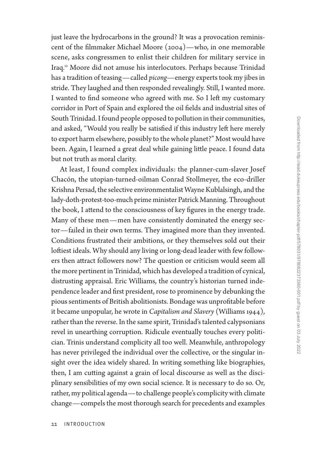just leave the hydrocarbons in the ground? It was a provocation reminiscent of the filmmaker Michael Moore (2004)—who, in one memorable scene, asks congressmen to enlist their children for military service in Iraq.[12](#page--1-0) Moore did not amuse his interlocutors. Perhaps because Trinidad has a tradition of teasing—called *picong*—energy experts took my jibes in stride. They laughed and then responded revealingly. Still, I wanted more. I wanted to find someone who agreed with me. So I left my customary corridor in Port of Spain and explored the oil fields and industrial sites of South Trinidad. I found people opposed to pollution in their communities, and asked, "Would you really be satisfied if this industry left here merely to export harm elsewhere, possibly to the whole planet?" Most would have been. Again, I learned a great deal while gaining little peace. I found data but not truth as moral clarity.

At least, I found complex individuals: the planner-cum-slaver Josef Chacón, the utopian-turned-oilman Conrad Stollmeyer, the eco-driller Krishna Persad, the selective environmentalist Wayne Kublalsingh, and the lady-doth-protest-too-much prime minister Patrick Manning. Throughout the book, I attend to the consciousness of key figures in the energy trade. Many of these men—men have consistently dominated the energy sector—failed in their own terms. They imagined more than they invented. Conditions frustrated their ambitions, or they themselves sold out their loftiest ideals. Why should any living or long-dead leader with few followers then attract followers now? The question or criticism would seem all the more pertinent in Trinidad, which has developed a tradition of cynical, distrusting appraisal. Eric Williams, the country's historian turned independence leader and first president, rose to prominence by debunking the pious sentiments of British abolitionists. Bondage was unprofitable before it became unpopular, he wrote in *Capitalism and Slavery* (Williams 1944), rather than the reverse. In the same spirit, Trinidad's talented calypsonians revel in unearthing corruption. Ridicule eventually touches every politician. Trinis understand complicity all too well. Meanwhile, anthropology has never privileged the individual over the collective, or the singular insight over the idea widely shared. In writing something like biographies, then, I am cutting against a grain of local discourse as well as the disciplinary sensibilities of my own social science. It is necessary to do so. Or, rather, my political agenda—to challenge people's complicity with climate change—compels the most thorough search for precedents and examples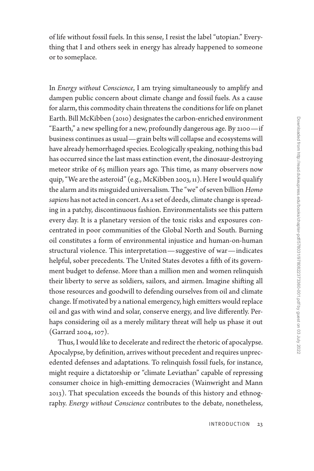of life without fossil fuels. In this sense, I resist the label "utopian." Everything that I and others seek in energy has already happened to someone or to someplace.

In *Energy without Conscience*, I am trying simultaneously to amplify and dampen public concern about climate change and fossil fuels. As a cause for alarm, this commodity chain threatens the conditions for life on planet Earth. Bill McKibben (2010) designates the carbon-enriched environment "Eaarth," a new spelling for a new, profoundly dangerous age. By 2100—if business continues as usual—grain belts will collapse and ecosystems will have already hemorrhaged species. Ecologically speaking, nothing this bad has occurred since the last mass extinction event, the dinosaur-destroying meteor strike of 65 million years ago. This time, as many observers now quip, "We are the asteroid" (e.g., McKibben 2003, 11). Here I would qualify the alarm and its misguided universalism. The "we" of seven billion *Homo sapiens* has not acted in concert. As a set of deeds, climate change is spreading in a patchy, discontinuous fashion. Environmentalists see this pattern every day. It is a planetary version of the toxic risks and exposures concentrated in poor communities of the Global North and South. Burning oil constitutes a form of environmental injustice and human-on-human structural violence. This interpretation—suggestive of war—indicates helpful, sober precedents. The United States devotes a fifth of its government budget to defense. More than a million men and women relinquish their liberty to serve as soldiers, sailors, and airmen. Imagine shifting all those resources and goodwill to defending ourselves from oil and climate change. If motivated by a national emergency, high emitters would replace oil and gas with wind and solar, conserve energy, and live differently. Perhaps considering oil as a merely military threat will help us phase it out (Garrard 2004, 107).

Thus, I would like to decelerate and redirect the rhetoric of apocalypse. Apocalypse, by definition, arrives without precedent and requires unprecedented defenses and adaptations. To relinquish fossil fuels, for instance, might require a dictatorship or "climate Leviathan" capable of repressing consumer choice in high-emitting democracies (Wainwright and Mann 2013). That speculation exceeds the bounds of this history and ethnography. *Energy without Conscience* contributes to the debate, nonetheless,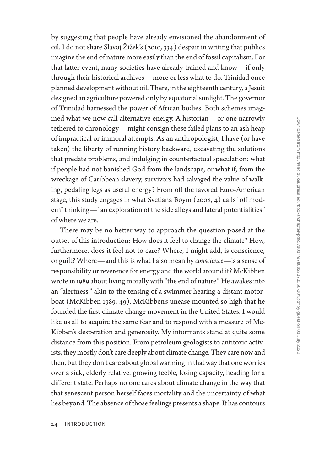by suggesting that people have already envisioned the abandonment of oil. I do not share Slavoj Žižek's (2010, 334) despair in writing that publics imagine the end of nature more easily than the end of fossil capitalism. For that latter event, many societies have already trained and know—if only through their historical archives—more or less what to do. Trinidad once planned development without oil. There, in the eighteenth century, a Jesuit designed an agriculture powered only by equatorial sunlight. The governor of Trinidad harnessed the power of African bodies. Both schemes imagined what we now call alternative energy. A historian—or one narrowly tethered to chronology—might consign these failed plans to an ash heap of impractical or immoral attempts. As an anthropologist, I have (or have taken) the liberty of running history backward, excavating the solutions that predate problems, and indulging in counterfactual speculation: what if people had not banished God from the landscape, or what if, from the wreckage of Caribbean slavery, survivors had salvaged the value of walking, pedaling legs as useful energy? From off the favored Euro-American stage, this study engages in what Svetlana Boym (2008, 4) calls "off modern" thinking—"an exploration of the side alleys and lateral potentialities" of where we are.

There may be no better way to approach the question posed at the outset of this introduction: How does it feel to change the climate? How, furthermore, does it feel not to care? Where, I might add, is conscience, or guilt? Where—and this is what I also mean by *conscience*—is a sense of responsibility or reverence for energy and the world around it? McKibben wrote in 1989 about living morally with "the end of nature." He awakes into an "alertness," akin to the tensing of a swimmer hearing a distant motorboat (McKibben 1989, 49). McKibben's unease mounted so high that he founded the first climate change movement in the United States. I would like us all to acquire the same fear and to respond with a measure of Mc-Kibben's desperation and generosity. My informants stand at quite some distance from this position. From petroleum geologists to antitoxic activists, they mostly don't care deeply about climate change. They care now and then, but they don't care about global warming in that way that one worries over a sick, elderly relative, growing feeble, losing capacity, heading for a different state. Perhaps no one cares about climate change in the way that that senescent person herself faces mortality and the uncertainty of what lies beyond. The absence of those feelings presents a shape. It has contours